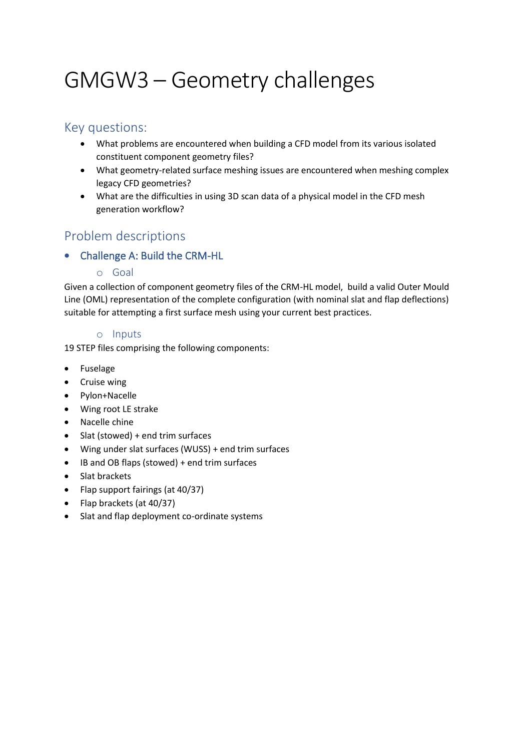# GMGW3 – Geometry challenges

## Key questions:

- What problems are encountered when building a CFD model from its various isolated constituent component geometry files?
- What geometry-related surface meshing issues are encountered when meshing complex legacy CFD geometries?
- What are the difficulties in using 3D scan data of a physical model in the CFD mesh generation workflow?

## Problem descriptions

## • Challenge A: Build the CRM-HL

#### o Goal

Given a collection of component geometry files of the CRM-HL model, build a valid Outer Mould Line (OML) representation of the complete configuration (with nominal slat and flap deflections) suitable for attempting a first surface mesh using your current best practices.

#### o Inputs

19 STEP files comprising the following components:

- Fuselage
- Cruise wing
- Pylon+Nacelle
- Wing root LE strake
- Nacelle chine
- Slat (stowed) + end trim surfaces
- Wing under slat surfaces (WUSS) + end trim surfaces
- IB and OB flaps (stowed) + end trim surfaces
- Slat brackets
- Flap support fairings (at 40/37)
- Flap brackets (at 40/37)
- Slat and flap deployment co-ordinate systems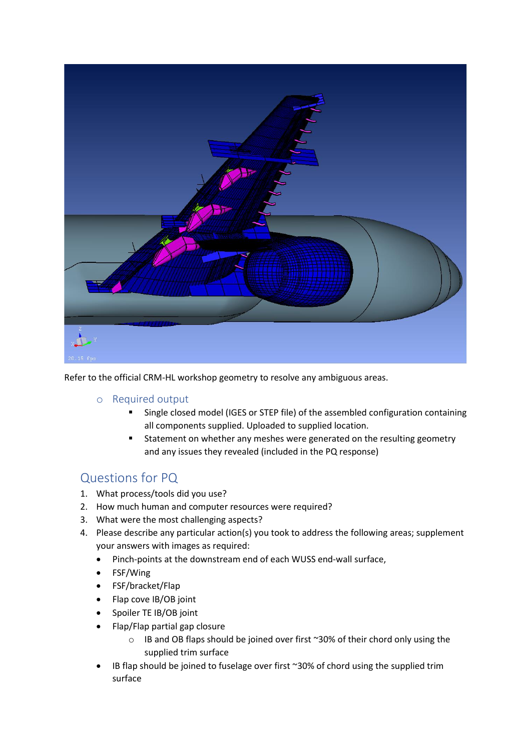

Refer to the official CRM-HL workshop geometry to resolve any ambiguous areas.

- o Required output
	- Single closed model (IGES or STEP file) of the assembled configuration containing all components supplied. Uploaded to supplied location.
	- Statement on whether any meshes were generated on the resulting geometry and any issues they revealed (included in the PQ response)

## Questions for PQ

- 1. What process/tools did you use?
- 2. How much human and computer resources were required?
- 3. What were the most challenging aspects?
- 4. Please describe any particular action(s) you took to address the following areas; supplement your answers with images as required:
	- Pinch-points at the downstream end of each WUSS end-wall surface,
	- FSF/Wing
	- FSF/bracket/Flap
	- Flap cove IB/OB joint
	- Spoiler TE IB/OB joint
	- Flap/Flap partial gap closure
		- o IB and OB flaps should be joined over first ~30% of their chord only using the supplied trim surface
	- IB flap should be joined to fuselage over first  $\sim$ 30% of chord using the supplied trim surface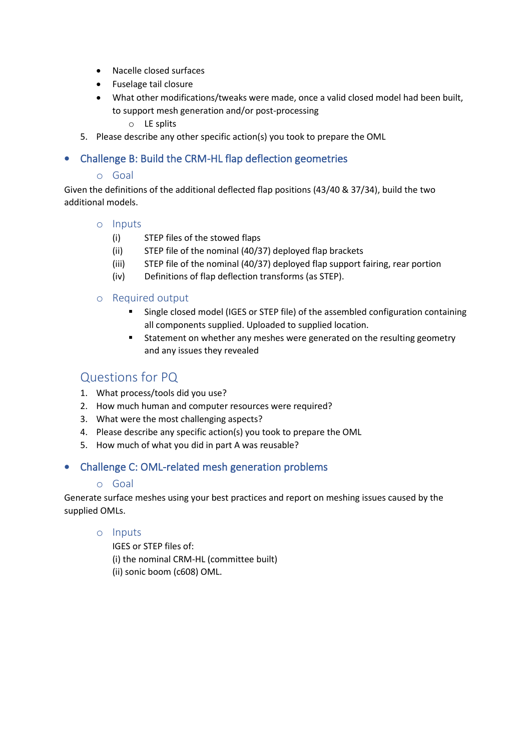- Nacelle closed surfaces
- Fuselage tail closure
- What other modifications/tweaks were made, once a valid closed model had been built, to support mesh generation and/or post-processing

o LE splits

5. Please describe any other specific action(s) you took to prepare the OML

#### • Challenge B: Build the CRM-HL flap deflection geometries

#### o Goal

Given the definitions of the additional deflected flap positions (43/40 & 37/34), build the two additional models.

#### o Inputs

- (i) STEP files of the stowed flaps
- (ii) STEP file of the nominal (40/37) deployed flap brackets
- (iii) STEP file of the nominal (40/37) deployed flap support fairing, rear portion
- (iv) Definitions of flap deflection transforms (as STEP).

#### o Required output

- Single closed model (IGES or STEP file) of the assembled configuration containing all components supplied. Uploaded to supplied location.
- Statement on whether any meshes were generated on the resulting geometry and any issues they revealed

## Questions for PQ

- 1. What process/tools did you use?
- 2. How much human and computer resources were required?
- 3. What were the most challenging aspects?
- 4. Please describe any specific action(s) you took to prepare the OML
- 5. How much of what you did in part A was reusable?

#### • Challenge C: OML-related mesh generation problems

#### o Goal

Generate surface meshes using your best practices and report on meshing issues caused by the supplied OMLs.

#### o Inputs

IGES or STEP files of: (i) the nominal CRM-HL (committee built) (ii) sonic boom (c608) OML.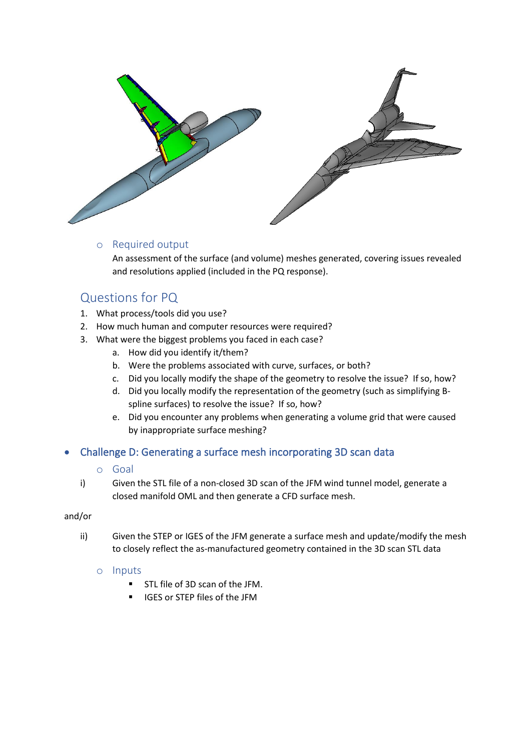

#### o Required output

An assessment of the surface (and volume) meshes generated, covering issues revealed and resolutions applied (included in the PQ response).

## Questions for PQ

- 1. What process/tools did you use?
- 2. How much human and computer resources were required?
- 3. What were the biggest problems you faced in each case?
	- a. How did you identify it/them?
	- b. Were the problems associated with curve, surfaces, or both?
	- c. Did you locally modify the shape of the geometry to resolve the issue? If so, how?
	- d. Did you locally modify the representation of the geometry (such as simplifying Bspline surfaces) to resolve the issue? If so, how?
	- e. Did you encounter any problems when generating a volume grid that were caused by inappropriate surface meshing?

#### • Challenge D: Generating a surface mesh incorporating 3D scan data

#### o Goal

i) Given the STL file of a non-closed 3D scan of the JFM wind tunnel model, generate a closed manifold OML and then generate a CFD surface mesh.

#### and/or

ii) Given the STEP or IGES of the JFM generate a surface mesh and update/modify the mesh to closely reflect the as-manufactured geometry contained in the 3D scan STL data

#### o Inputs

- STL file of 3D scan of the JFM.
- IGES or STEP files of the JFM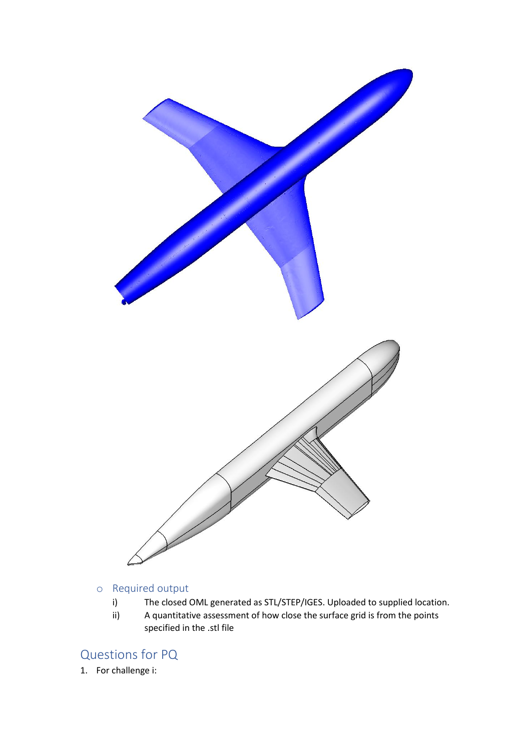

### o Required output

- i) The closed OML generated as STL/STEP/IGES. Uploaded to supplied location.
- ii) A quantitative assessment of how close the surface grid is from the points specified in the .stl file

# Questions for PQ

1. For challenge i: